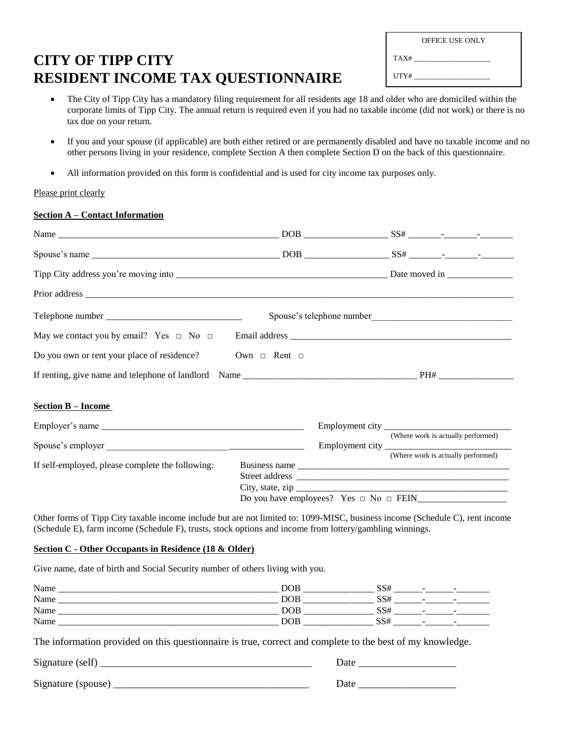# **CITY OF TIPP CITY RESIDENT INCOME TAX QUESTIONNAIRE**

|      | <b>OFFICE USE ONLY</b> |
|------|------------------------|
| TAX# |                        |
| UTY# |                        |

- The City of Tipp City has a mandatory filing requirement for all residents age 18 and older who are domiciled within the corporate limits of Tipp City. The annual return is required even if you had no taxable income (did not work) or there is no tax due on your return.
- If you and your spouse (if applicable) are both either retired or are permanently disabled and have no taxable income and no other persons living in your residence, complete Section A then complete Section D on the back of this questionnaire.
- All information provided on this form is confidential and is used for city income tax purposes only.

# Please print clearly

# **Section A – Contact Information**

| Telephone number $\frac{1}{2}$ = $\frac{1}{2}$ = $\frac{1}{2}$ = $\frac{1}{2}$ = $\frac{1}{2}$ = $\frac{1}{2}$ = $\frac{1}{2}$ = $\frac{1}{2}$ = $\frac{1}{2}$ = $\frac{1}{2}$ = $\frac{1}{2}$ = $\frac{1}{2}$ = $\frac{1}{2}$ = $\frac{1}{2}$ = $\frac{1}{2}$ = $\frac{1}{2}$ = $\frac{1}{2}$ = |                        |  |                                                        |
|--------------------------------------------------------------------------------------------------------------------------------------------------------------------------------------------------------------------------------------------------------------------------------------------------|------------------------|--|--------------------------------------------------------|
|                                                                                                                                                                                                                                                                                                  |                        |  |                                                        |
| Do you own or rent your place of residence?                                                                                                                                                                                                                                                      | Own $\Box$ Rent $\Box$ |  |                                                        |
|                                                                                                                                                                                                                                                                                                  |                        |  |                                                        |
| <b>Section B - Income</b>                                                                                                                                                                                                                                                                        |                        |  |                                                        |
|                                                                                                                                                                                                                                                                                                  |                        |  |                                                        |
|                                                                                                                                                                                                                                                                                                  |                        |  | (Where work is actually performed)                     |
| If self-employed, please complete the following:                                                                                                                                                                                                                                                 |                        |  | (Where work is actually performed)<br>City, state, zip |
|                                                                                                                                                                                                                                                                                                  |                        |  |                                                        |

Other forms of Tipp City taxable income include but are not limited to: 1099-MISC, business income (Schedule C), rent income (Schedule E), farm income (Schedule F), trusts, stock options and income from lottery/gambling winnings.

#### **Section C - Other Occupants in Residence (18 & Older)**

Give name, date of birth and Social Security number of others living with you.

| Name        | DOF<br>________          | -                                                           |
|-------------|--------------------------|-------------------------------------------------------------|
| Name        | DOB.<br>______<br>______ |                                                             |
| <b>Name</b> | DOF<br>__                | $\overline{\phantom{a}}$<br>$\overline{\phantom{a}}$<br>ر و |
| Name        | ЭOI<br>_______<br>______ | -<br>$\overline{\phantom{a}}$<br>ມມ                         |

The information provided on this questionnaire is true, correct and complete to the best of my knowledge.

Signature (self) \_\_\_\_\_\_\_\_\_\_\_\_\_\_\_\_\_\_\_\_\_\_\_\_\_\_\_\_\_\_\_\_\_\_\_\_\_\_\_\_\_ Date \_\_\_\_\_\_\_\_\_\_\_\_\_\_\_\_\_\_\_ Signature (spouse) \_\_\_\_\_\_\_\_\_\_\_\_\_\_\_\_\_\_\_\_\_\_\_\_\_\_\_\_\_\_\_\_\_\_\_\_\_\_ Date \_\_\_\_\_\_\_\_\_\_\_\_\_\_\_\_\_\_\_